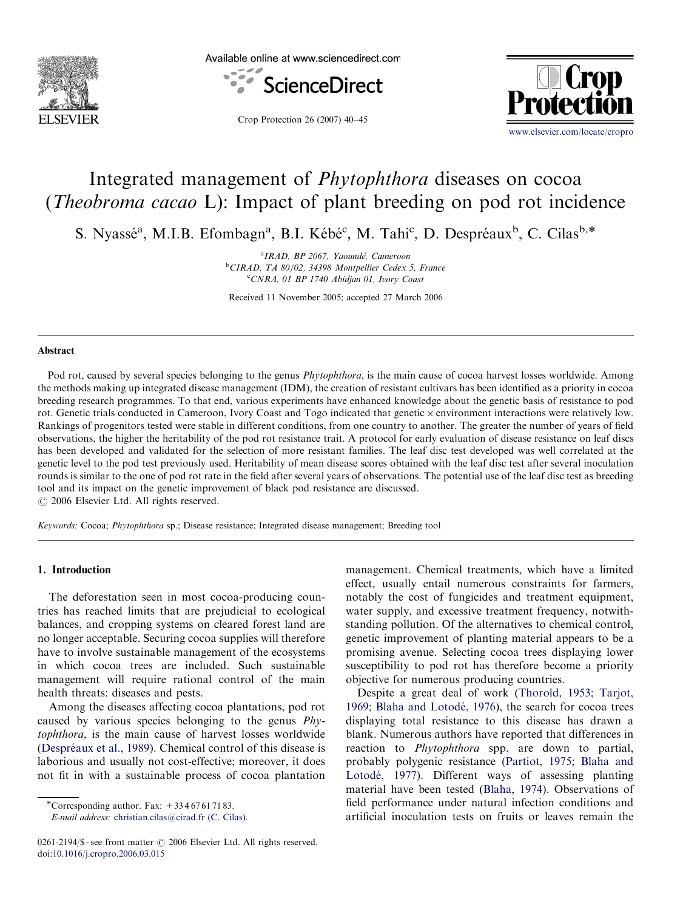

Available online at www.sciencedirect.com



Crop Protection 26 (2007) 40–45

**Crop** <www.elsevier.com/locate/cropro>

# Integrated management of Phytophthora diseases on cocoa (Theobroma cacao L): Impact of plant breeding on pod rot incidence

S. Nyassé<sup>a</sup>, M.I.B. Efombagn<sup>a</sup>, B.I. Kébé<sup>c</sup>, M. Tahi<sup>c</sup>, D. Despréaux<sup>b</sup>, C. Cilas<sup>b,\*</sup>

<sup>a</sup>IRAD, BP 2067, Yaoundé, Cameroon <sup>b</sup>CIRAD, TA 80/02, 34398 Montpellier Cedex 5, France CNRA, 01 BP 1740 Abidjan 01, Ivory Coast

Received 11 November 2005; accepted 27 March 2006

#### Abstract

Pod rot, caused by several species belonging to the genus *Phytophthora*, is the main cause of cocoa harvest losses worldwide. Among the methods making up integrated disease management (IDM), the creation of resistant cultivars has been identified as a priority in cocoa breeding research programmes. To that end, various experiments have enhanced knowledge about the genetic basis of resistance to pod rot. Genetic trials conducted in Cameroon, Ivory Coast and Togo indicated that genetic  $\times$  environment interactions were relatively low. Rankings of progenitors tested were stable in different conditions, from one country to another. The greater the number of years of field observations, the higher the heritability of the pod rot resistance trait. A protocol for early evaluation of disease resistance on leaf discs has been developed and validated for the selection of more resistant families. The leaf disc test developed was well correlated at the genetic level to the pod test previously used. Heritability of mean disease scores obtained with the leaf disc test after several inoculation rounds is similar to the one of pod rot rate in the field after several years of observations. The potential use of the leaf disc test as breeding tool and its impact on the genetic improvement of black pod resistance are discussed.  $\odot$  2006 Elsevier Ltd. All rights reserved.

Keywords: Cocoa; Phytophthora sp.; Disease resistance; Integrated disease management; Breeding tool

## 1. Introduction

The deforestation seen in most cocoa-producing countries has reached limits that are prejudicial to ecological balances, and cropping systems on cleared forest land are no longer acceptable. Securing cocoa supplies will therefore have to involve sustainable management of the ecosystems in which cocoa trees are included. Such sustainable management will require rational control of the main health threats: diseases and pests.

Among the diseases affecting cocoa plantations, pod rot caused by various species belonging to the genus Phytophthora, is the main cause of harvest losses worldwide (Despréaux et al., 1989). Chemical control of this disease is laborious and usually not cost-effective; moreover, it does not fit in with a sustainable process of cocoa plantation

\*Corresponding author. Fax:  $+33467617183$ .

E-mail address: [christian.cilas@cirad.fr \(C. Cilas\).](mailto:christian.cilas@cirad.fr)

management. Chemical treatments, which have a limited effect, usually entail numerous constraints for farmers, notably the cost of fungicides and treatment equipment, water supply, and excessive treatment frequency, notwithstanding pollution. Of the alternatives to chemical control, genetic improvement of planting material appears to be a promising avenue. Selecting cocoa trees displaying lower susceptibility to pod rot has therefore become a priority objective for numerous producing countries.

Despite a great deal of work [\(Thorold, 1953](#page-5-0); [Tarjot,](#page-5-0) [1969;](#page-5-0) Blaha and Lotodé, 1976), the search for cocoa trees displaying total resistance to this disease has drawn a blank. Numerous authors have reported that differences in reaction to *Phytophthora* spp. are down to partial, probably polygenic resistance [\(Partiot, 1975;](#page-5-0) [Blaha and](#page-4-0) Lotodé, 1977). Different ways of assessing planting material have been tested ([Blaha, 1974](#page-4-0)). Observations of field performance under natural infection conditions and artificial inoculation tests on fruits or leaves remain the

<sup>0261-2194/\$ -</sup> see front matter  $\odot$  2006 Elsevier Ltd. All rights reserved. doi:[10.1016/j.cropro.2006.03.015](dx.doi.org/10.1016/j.cropro.2006.03.015)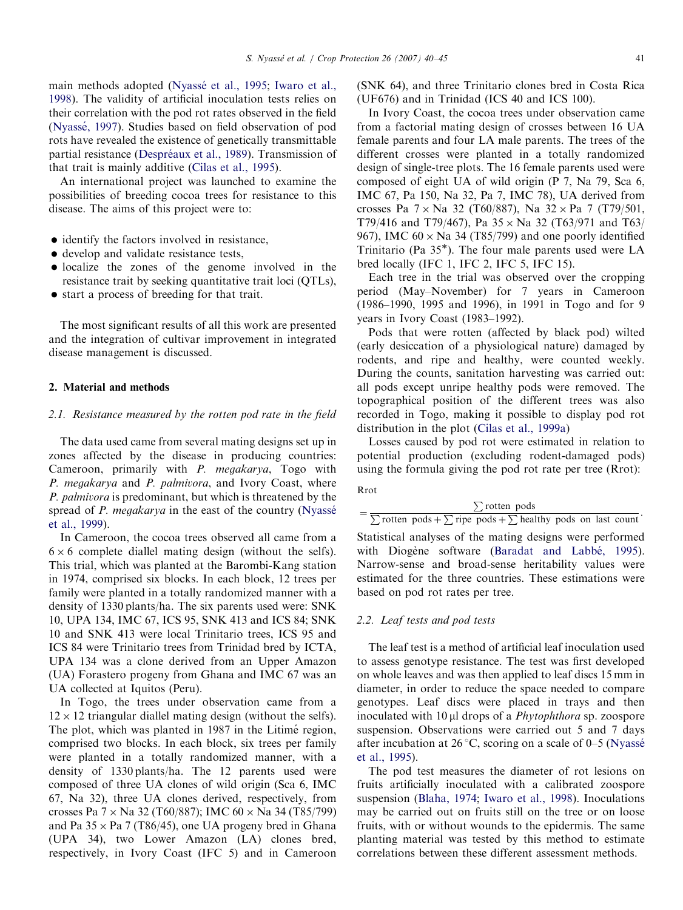main methods adopted (Nyassé [et al., 1995;](#page-5-0) [Iwaro et al.,](#page-5-0) [1998](#page-5-0)). The validity of artificial inoculation tests relies on their correlation with the pod rot rates observed in the field ([Nyasse´, 1997](#page-5-0)). Studies based on field observation of pod rots have revealed the existence of genetically transmittable partial resistance (Despréaux et al., 1989). Transmission of that trait is mainly additive ([Cilas et al., 1995\)](#page-4-0).

An international project was launched to examine the possibilities of breeding cocoa trees for resistance to this disease. The aims of this project were to:

- $\bullet$  identify the factors involved in resistance,
- $\bullet$  develop and validate resistance tests,
- localize the zones of the genome involved in the resistance trait by seeking quantitative trait loci (QTLs),
- start a process of breeding for that trait.

The most significant results of all this work are presented and the integration of cultivar improvement in integrated disease management is discussed.

## 2. Material and methods

#### 2.1. Resistance measured by the rotten pod rate in the field

The data used came from several mating designs set up in zones affected by the disease in producing countries: Cameroon, primarily with P. megakarya, Togo with P. megakarya and P. palmivora, and Ivory Coast, where P. palmivora is predominant, but which is threatened by the spread of P. megakarya in the east of the country (Nyassé [et al., 1999\)](#page-5-0).

In Cameroon, the cocoa trees observed all came from a  $6 \times 6$  complete diallel mating design (without the selfs). This trial, which was planted at the Barombi-Kang station in 1974, comprised six blocks. In each block, 12 trees per family were planted in a totally randomized manner with a density of 1330 plants/ha. The six parents used were: SNK 10, UPA 134, IMC 67, ICS 95, SNK 413 and ICS 84; SNK 10 and SNK 413 were local Trinitario trees, ICS 95 and ICS 84 were Trinitario trees from Trinidad bred by ICTA, UPA 134 was a clone derived from an Upper Amazon (UA) Forastero progeny from Ghana and IMC 67 was an UA collected at Iquitos (Peru).

In Togo, the trees under observation came from a  $12 \times 12$  triangular diallel mating design (without the selfs). The plot, which was planted in 1987 in the Litimé region, comprised two blocks. In each block, six trees per family were planted in a totally randomized manner, with a density of 1330 plants/ha. The 12 parents used were composed of three UA clones of wild origin (Sca 6, IMC 67, Na 32), three UA clones derived, respectively, from crosses Pa  $7 \times$  Na 32 (T60/887); IMC 60  $\times$  Na 34 (T85/799) and Pa  $35 \times$  Pa 7 (T86/45), one UA progeny bred in Ghana (UPA 34), two Lower Amazon (LA) clones bred, respectively, in Ivory Coast (IFC 5) and in Cameroon (SNK 64), and three Trinitario clones bred in Costa Rica (UF676) and in Trinidad (ICS 40 and ICS 100).

In Ivory Coast, the cocoa trees under observation came from a factorial mating design of crosses between 16 UA female parents and four LA male parents. The trees of the different crosses were planted in a totally randomized design of single-tree plots. The 16 female parents used were composed of eight UA of wild origin (P 7, Na 79, Sca 6, IMC 67, Pa 150, Na 32, Pa 7, IMC 78), UA derived from crosses Pa  $7 \times$  Na 32 (T60/887), Na 32  $\times$  Pa 7 (T79/501, T79/416 and T79/467), Pa  $35 \times$  Na 32 (T63/971 and T63/ 967), IMC  $60 \times$  Na 34 (T85/799) and one poorly identified Trinitario (Pa  $35^*$ ). The four male parents used were LA bred locally (IFC 1, IFC 2, IFC 5, IFC 15).

Each tree in the trial was observed over the cropping period (May–November) for 7 years in Cameroon (1986–1990, 1995 and 1996), in 1991 in Togo and for 9 years in Ivory Coast (1983–1992).

Pods that were rotten (affected by black pod) wilted (early desiccation of a physiological nature) damaged by rodents, and ripe and healthy, were counted weekly. During the counts, sanitation harvesting was carried out: all pods except unripe healthy pods were removed. The topographical position of the different trees was also recorded in Togo, making it possible to display pod rot distribution in the plot ([Cilas et al., 1999a\)](#page-5-0)

Losses caused by pod rot were estimated in relation to potential production (excluding rodent-damaged pods) using the formula giving the pod rot rate per tree (Rrot):

Rrot

| $\sum$ rotten pods                                                        |  |  |
|---------------------------------------------------------------------------|--|--|
| $\sum$ rotten pods + $\sum$ ripe pods + $\sum$ healthy pods on last count |  |  |

Statistical analyses of the mating designs were performed with Diogène software (Baradat and Labbé, 1995). Narrow-sense and broad-sense heritability values were estimated for the three countries. These estimations were based on pod rot rates per tree.

#### 2.2. Leaf tests and pod tests

The leaf test is a method of artificial leaf inoculation used to assess genotype resistance. The test was first developed on whole leaves and was then applied to leaf discs 15 mm in diameter, in order to reduce the space needed to compare genotypes. Leaf discs were placed in trays and then inoculated with 10 *m*l drops of a Phytophthora sp. zoospore suspension. Observations were carried out 5 and 7 days after incubation at  $26^{\circ}$ C, scoring on a scale of 0–5 (Nyassé [et al., 1995\)](#page-5-0).

The pod test measures the diameter of rot lesions on fruits artificially inoculated with a calibrated zoospore suspension ([Blaha, 1974;](#page-4-0) [Iwaro et al., 1998\)](#page-5-0). Inoculations may be carried out on fruits still on the tree or on loose fruits, with or without wounds to the epidermis. The same planting material was tested by this method to estimate correlations between these different assessment methods.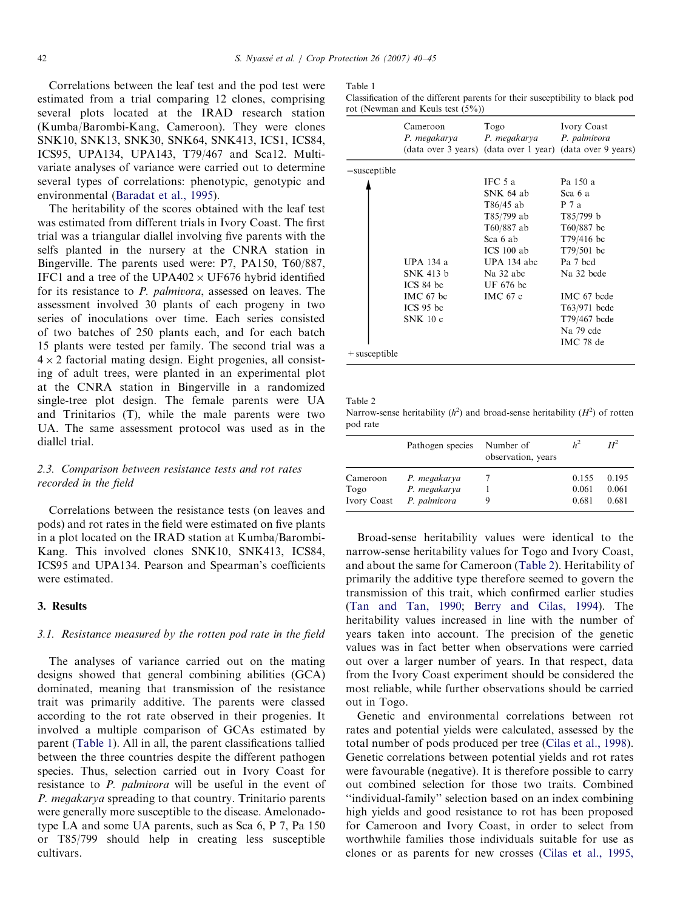Correlations between the leaf test and the pod test were estimated from a trial comparing 12 clones, comprising several plots located at the IRAD research station (Kumba/Barombi-Kang, Cameroon). They were clones SNK10, SNK13, SNK30, SNK64, SNK413, ICS1, ICS84, ICS95, UPA134, UPA143, T79/467 and Sca12. Multivariate analyses of variance were carried out to determine several types of correlations: phenotypic, genotypic and environmental ([Baradat et al., 1995\)](#page-4-0).

The heritability of the scores obtained with the leaf test was estimated from different trials in Ivory Coast. The first trial was a triangular diallel involving five parents with the selfs planted in the nursery at the CNRA station in Bingerville. The parents used were: P7, PA150, T60/887, IFC1 and a tree of the UPA402  $\times$  UF676 hybrid identified for its resistance to P. palmivora, assessed on leaves. The assessment involved 30 plants of each progeny in two series of inoculations over time. Each series consisted of two batches of 250 plants each, and for each batch 15 plants were tested per family. The second trial was a  $4 \times 2$  factorial mating design. Eight progenies, all consisting of adult trees, were planted in an experimental plot at the CNRA station in Bingerville in a randomized single-tree plot design. The female parents were UA and Trinitarios (T), while the male parents were two UA. The same assessment protocol was used as in the diallel trial.

# 2.3. Comparison between resistance tests and rot rates recorded in the field

Correlations between the resistance tests (on leaves and pods) and rot rates in the field were estimated on five plants in a plot located on the IRAD station at Kumba/Barombi-Kang. This involved clones SNK10, SNK413, ICS84, ICS95 and UPA134. Pearson and Spearman's coefficients were estimated.

## 3. Results

## 3.1. Resistance measured by the rotten pod rate in the field

The analyses of variance carried out on the mating designs showed that general combining abilities (GCA) dominated, meaning that transmission of the resistance trait was primarily additive. The parents were classed according to the rot rate observed in their progenies. It involved a multiple comparison of GCAs estimated by parent (Table 1). All in all, the parent classifications tallied between the three countries despite the different pathogen species. Thus, selection carried out in Ivory Coast for resistance to P. palmivora will be useful in the event of P. megakarya spreading to that country. Trinitario parents were generally more susceptible to the disease. Amelonadotype LA and some UA parents, such as Sca 6, P 7, Pa 150 or T85/799 should help in creating less susceptible cultivars.

Table 1

Classification of the different parents for their susceptibility to black pod rot (Newman and Keuls test (5%))

|                 | Cameroon<br>P. megakarya berengakarya kepalmiyora | Togo                         | <b>Ivory Coast</b><br>(data over 3 years) (data over 1 year) (data over 9 years) |
|-----------------|---------------------------------------------------|------------------------------|----------------------------------------------------------------------------------|
| -susceptible    |                                                   |                              |                                                                                  |
|                 |                                                   | IFC 5 a                      | Pa 150 a                                                                         |
|                 |                                                   | SNK 64 ab                    | Sca 6 a                                                                          |
|                 |                                                   | T86/45 ab                    | P7a                                                                              |
|                 |                                                   | T85/799 ab                   | T85/799 b                                                                        |
|                 |                                                   | T60/887 ab                   | $T60/887$ bc                                                                     |
|                 |                                                   | Sca 6 ab                     | $T79/416$ bc                                                                     |
|                 |                                                   | $\text{ICS } 100 \text{ ab}$ | $T79/501$ bc                                                                     |
|                 | UPA 134 a                                         | UPA 134 abc                  | Pa 7 bcd                                                                         |
|                 | SNK 413 b                                         | Na 32 abc                    | Na 32 bcde                                                                       |
|                 | ICS 84 bc                                         | UF 676 bc                    |                                                                                  |
|                 | IMC $67$ bc                                       | IMC 67 c                     | IMC 67 bcde                                                                      |
|                 | $ICS95$ bc                                        |                              | T63/971 bcde                                                                     |
|                 | SNK 10 c                                          |                              | T79/467 bcde                                                                     |
|                 |                                                   |                              | Na 79 cde                                                                        |
|                 |                                                   |                              | IMC 78 de                                                                        |
| $+$ susceptible |                                                   |                              |                                                                                  |

Table 2

Narrow-sense heritability  $(h^2)$  and broad-sense heritability  $(H^2)$  of rotten pod rate

|                    | Pathogen species | Number of<br>observation, years |       | $H^2$ |
|--------------------|------------------|---------------------------------|-------|-------|
| Cameroon           | P. megakarya     |                                 | 0.155 | 0.195 |
| Togo               | P. megakarya     |                                 | 0.061 | 0.061 |
| <b>Ivory Coast</b> | P. palmivora     |                                 | 0.681 | 0.681 |

Broad-sense heritability values were identical to the narrow-sense heritability values for Togo and Ivory Coast, and about the same for Cameroon (Table 2). Heritability of primarily the additive type therefore seemed to govern the transmission of this trait, which confirmed earlier studies [\(Tan and Tan, 1990;](#page-5-0) [Berry and Cilas, 1994\)](#page-4-0). The heritability values increased in line with the number of years taken into account. The precision of the genetic values was in fact better when observations were carried out over a larger number of years. In that respect, data from the Ivory Coast experiment should be considered the most reliable, while further observations should be carried out in Togo.

Genetic and environmental correlations between rot rates and potential yields were calculated, assessed by the total number of pods produced per tree [\(Cilas et al., 1998\)](#page-4-0). Genetic correlations between potential yields and rot rates were favourable (negative). It is therefore possible to carry out combined selection for those two traits. Combined ''individual-family'' selection based on an index combining high yields and good resistance to rot has been proposed for Cameroon and Ivory Coast, in order to select from worthwhile families those individuals suitable for use as clones or as parents for new crosses ([Cilas et al., 1995,](#page-4-0)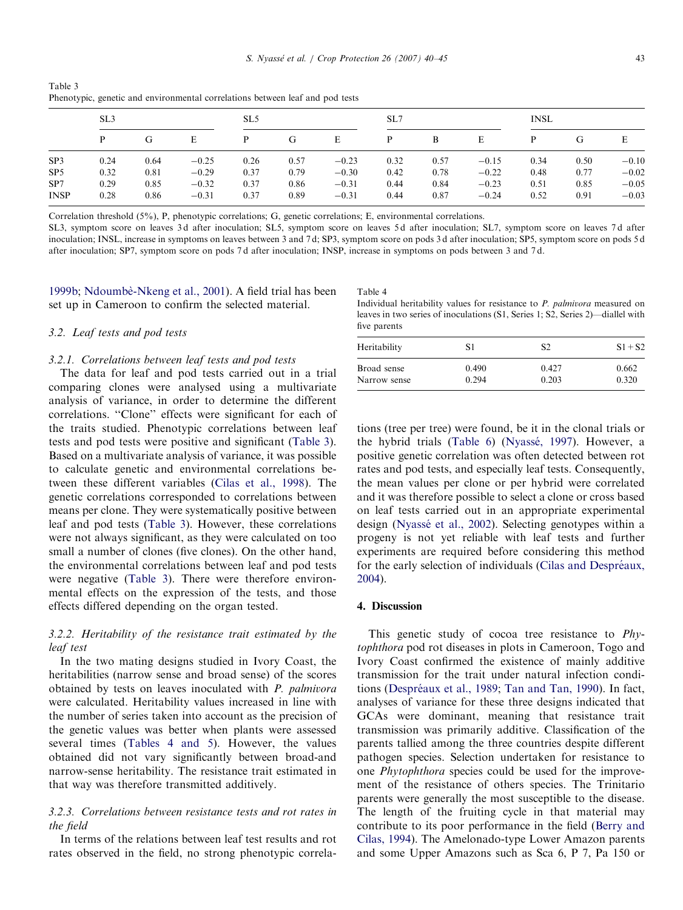| Table 3                                                                       |  |  |  |  |
|-------------------------------------------------------------------------------|--|--|--|--|
| Phenotypic, genetic and environmental correlations between leaf and pod tests |  |  |  |  |

|                 | SL <sub>3</sub> |      | SL5     |      |      | SL7     |      |      |         | <b>INSL</b> |      |         |
|-----------------|-----------------|------|---------|------|------|---------|------|------|---------|-------------|------|---------|
|                 | P               | G    | E       |      | G    | E       | P    | B    | E       |             | G    | E       |
| SP3             | 0.24            | 0.64 | $-0.25$ | 0.26 | 0.57 | $-0.23$ | 0.32 | 0.57 | $-0.15$ | 0.34        | 0.50 | $-0.10$ |
| SP <sub>5</sub> | 0.32            | 0.81 | $-0.29$ | 0.37 | 0.79 | $-0.30$ | 0.42 | 0.78 | $-0.22$ | 0.48        | 0.77 | $-0.02$ |
| SP7             | 0.29            | 0.85 | $-0.32$ | 0.37 | 0.86 | $-0.31$ | 0.44 | 0.84 | $-0.23$ | 0.51        | 0.85 | $-0.05$ |
| <b>INSP</b>     | 0.28            | 0.86 | $-0.31$ | 0.37 | 0.89 | $-0.31$ | 0.44 | 0.87 | $-0.24$ | 0.52        | 0.91 | $-0.03$ |

Correlation threshold (5%), P, phenotypic correlations; G, genetic correlations; E, environmental correlations.

SL3, symptom score on leaves 3 d after inoculation; SL5, symptom score on leaves 5 d after inoculation; SL7, symptom score on leaves 7 d after inoculation; INSL, increase in symptoms on leaves between 3 and 7 d; SP3, symptom score on pods 3 d after inoculation; SP5, symptom score on pods 5 d after inoculation; SP7, symptom score on pods 7 d after inoculation; INSP, increase in symptoms on pods between 3 and 7 d.

[1999b;](#page-4-0) Ndoumbè-Nkeng et al., 2001). A field trial has been set up in Cameroon to confirm the selected material.

#### 3.2. Leaf tests and pod tests

## 3.2.1. Correlations between leaf tests and pod tests

The data for leaf and pod tests carried out in a trial comparing clones were analysed using a multivariate analysis of variance, in order to determine the different correlations. ''Clone'' effects were significant for each of the traits studied. Phenotypic correlations between leaf tests and pod tests were positive and significant (Table 3). Based on a multivariate analysis of variance, it was possible to calculate genetic and environmental correlations between these different variables ([Cilas et al., 1998\)](#page-4-0). The genetic correlations corresponded to correlations between means per clone. They were systematically positive between leaf and pod tests (Table 3). However, these correlations were not always significant, as they were calculated on too small a number of clones (five clones). On the other hand, the environmental correlations between leaf and pod tests were negative (Table 3). There were therefore environmental effects on the expression of the tests, and those effects differed depending on the organ tested.

# 3.2.2. Heritability of the resistance trait estimated by the leaf test

In the two mating designs studied in Ivory Coast, the heritabilities (narrow sense and broad sense) of the scores obtained by tests on leaves inoculated with P. palmivora were calculated. Heritability values increased in line with the number of series taken into account as the precision of the genetic values was better when plants were assessed several times (Tables 4 and 5). However, the values obtained did not vary significantly between broad-and narrow-sense heritability. The resistance trait estimated in that way was therefore transmitted additively.

# 3.2.3. Correlations between resistance tests and rot rates in the field

In terms of the relations between leaf test results and rot rates observed in the field, no strong phenotypic correlaTable 4

Individual heritability values for resistance to P. palmivora measured on leaves in two series of inoculations (S1, Series 1; S2, Series 2)—diallel with five parents

| Heritability | S1.   | S2    | $S1 + S2$ |
|--------------|-------|-------|-----------|
| Broad sense  | 0.490 | 0.427 | 0.662     |
| Narrow sense | 0.294 | 0.203 | 0.320     |

tions (tree per tree) were found, be it in the clonal trials or the hybrid trials [\(Table 6\)](#page-4-0) (Nyassé, 1997). However, a positive genetic correlation was often detected between rot rates and pod tests, and especially leaf tests. Consequently, the mean values per clone or per hybrid were correlated and it was therefore possible to select a clone or cross based on leaf tests carried out in an appropriate experimental design (Nyassé [et al., 2002\)](#page-5-0). Selecting genotypes within a progeny is not yet reliable with leaf tests and further experiments are required before considering this method for the early selection of individuals (Cilas and Despréaux, [2004](#page-4-0)).

## 4. Discussion

This genetic study of cocoa tree resistance to Phytophthora pod rot diseases in plots in Cameroon, Togo and Ivory Coast confirmed the existence of mainly additive transmission for the trait under natural infection condi-tions (Despréaux et al., 1989; [Tan and Tan, 1990](#page-5-0)). In fact, analyses of variance for these three designs indicated that GCAs were dominant, meaning that resistance trait transmission was primarily additive. Classification of the parents tallied among the three countries despite different pathogen species. Selection undertaken for resistance to one Phytophthora species could be used for the improvement of the resistance of others species. The Trinitario parents were generally the most susceptible to the disease. The length of the fruiting cycle in that material may contribute to its poor performance in the field [\(Berry and](#page-4-0) [Cilas, 1994\)](#page-4-0). The Amelonado-type Lower Amazon parents and some Upper Amazons such as Sca 6, P 7, Pa 150 or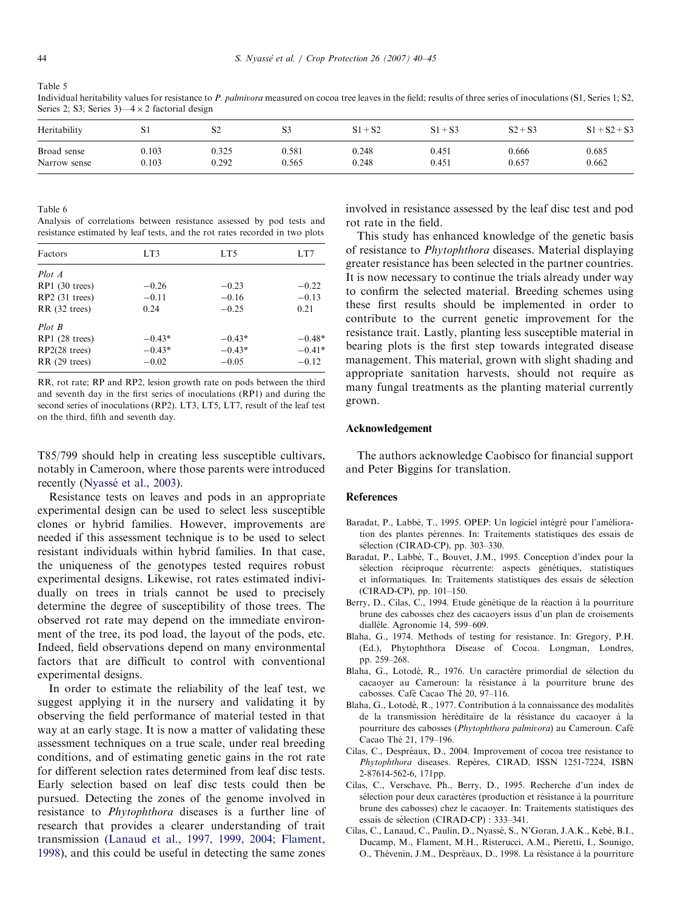<span id="page-4-0"></span>

| Table 5                                                                                                                                                              |
|----------------------------------------------------------------------------------------------------------------------------------------------------------------------|
| Individual heritability values for resistance to P. palmivora measured on cocoa tree leaves in the field; results of three series of inoculations (S1, Series 1; S2. |
| Series 2, S3; Series $3$ —4 $\times$ 2 factorial design                                                                                                              |

| Heritability | S1    | S <sub>2</sub> | S3    | $S1 + S2$ | $S1 + S3$ | $S2 + S3$ | $S1 + S2 + S3$ |
|--------------|-------|----------------|-------|-----------|-----------|-----------|----------------|
| Broad sense  | 0.103 | 0.325          | 0.581 | 0.248     | 0.451     | 0.666     | 0.685          |
| Narrow sense | 0.103 | 0.292          | 0.565 | 0.248     | 0.451     | 0.657     | 0.662          |

#### Table 6

Analysis of correlations between resistance assessed by pod tests and resistance estimated by leaf tests, and the rot rates recorded in two plots

| Factors          | LT3      | LT5      | LT7      |
|------------------|----------|----------|----------|
| Plot A           |          |          |          |
| $RP1(30$ trees)  | $-0.26$  | $-0.23$  | $-0.22$  |
| $RP2$ (31 trees) | $-0.11$  | $-0.16$  | $-0.13$  |
| RR (32 trees)    | 0.24     | $-0.25$  | 0.21     |
| Plot B           |          |          |          |
| RP1 (28 trees)   | $-0.43*$ | $-0.43*$ | $-0.48*$ |
| $RP2(28$ trees)  | $-0.43*$ | $-0.43*$ | $-0.41*$ |
| RR(29 trees)     | $-0.02$  | $-0.05$  | $-0.12$  |

RR, rot rate; RP and RP2, lesion growth rate on pods between the third and seventh day in the first series of inoculations (RP1) and during the second series of inoculations (RP2). LT3, LT5, LT7, result of the leaf test on the third, fifth and seventh day.

T85/799 should help in creating less susceptible cultivars, notably in Cameroon, where those parents were introduced recently (Nyassé [et al., 2003\)](#page-5-0).

Resistance tests on leaves and pods in an appropriate experimental design can be used to select less susceptible clones or hybrid families. However, improvements are needed if this assessment technique is to be used to select resistant individuals within hybrid families. In that case, the uniqueness of the genotypes tested requires robust experimental designs. Likewise, rot rates estimated individually on trees in trials cannot be used to precisely determine the degree of susceptibility of those trees. The observed rot rate may depend on the immediate environment of the tree, its pod load, the layout of the pods, etc. Indeed, field observations depend on many environmental factors that are difficult to control with conventional experimental designs.

In order to estimate the reliability of the leaf test, we suggest applying it in the nursery and validating it by observing the field performance of material tested in that way at an early stage. It is now a matter of validating these assessment techniques on a true scale, under real breeding conditions, and of estimating genetic gains in the rot rate for different selection rates determined from leaf disc tests. Early selection based on leaf disc tests could then be pursued. Detecting the zones of the genome involved in resistance to Phytophthora diseases is a further line of research that provides a clearer understanding of trait transmission ([Lanaud et al., 1997, 1999, 2004;](#page-5-0) [Flament,](#page-5-0) [1998\)](#page-5-0), and this could be useful in detecting the same zones involved in resistance assessed by the leaf disc test and pod rot rate in the field.

This study has enhanced knowledge of the genetic basis of resistance to Phytophthora diseases. Material displaying greater resistance has been selected in the partner countries. It is now necessary to continue the trials already under way to confirm the selected material. Breeding schemes using these first results should be implemented in order to contribute to the current genetic improvement for the resistance trait. Lastly, planting less susceptible material in bearing plots is the first step towards integrated disease management. This material, grown with slight shading and appropriate sanitation harvests, should not require as many fungal treatments as the planting material currently grown.

## Acknowledgement

The authors acknowledge Caobisco for financial support and Peter Biggins for translation.

## References

- Baradat, P., Labbé, T., 1995. OPEP: Un logiciel intégré pour l'amélioration des plantes pérennes. In: Traitements statistiques des essais de sélection (CIRAD-CP), pp. 303–330.
- Baradat, P., Labbé, T., Bouvet, J.M., 1995. Conception d'index pour la sélection réciproque récurrente: aspects génétiques, statistiques et informatiques. In: Traitements statistiques des essais de sélection (CIRAD-CP), pp. 101–150.
- Berry, D., Cilas, C., 1994. Etude génétique de la réaction à la pourriture brune des cabosses chez des cacaoyers issus d'un plan de croisements diallèle. Agronomie 14, 599–609.
- Blaha, G., 1974. Methods of testing for resistance. In: Gregory, P.H. (Ed.), Phytophthora Disease of Cocoa. Longman, Londres, pp. 259–268.
- Blaha, G., Lotodé, R., 1976. Un caractère primordial de sélection du cacaoyer au Cameroun: la résistance à la pourriture brune des cabosses. Café Cacao Thé 20, 97–116.
- Blaha, G., Lotodé, R., 1977. Contribution à la connaissance des modalités de la transmission héréditaire de la résistance du cacaoyer à la pourriture des cabosses (Phytophthora palmivora) au Cameroun. Café Cacao Thé 21, 179-196.
- Cilas, C., Despréaux, D., 2004. Improvement of cocoa tree resistance to Phytophthora diseases. Repères, CIRAD, ISSN 1251-7224, ISBN 2-87614-562-6, 171pp.
- Cilas, C., Verschave, Ph., Berry, D., 1995. Recherche d'un index de sélection pour deux caractères (production et résistance à la pourriture brune des cabosses) chez le cacaoyer. In: Traitements statistiques des essais de sélection (CIRAD-CP) : 333–341.
- Cilas, C., Lanaud, C., Paulin, D., Nyassé, S., N'Goran, J.A.K., Kebé, B.I., Ducamp, M., Flament, M.H., Risterucci, A.M., Pieretti, I., Sounigo, O., Thévenin, J.M., Despréaux, D., 1998. La résistance à la pourriture